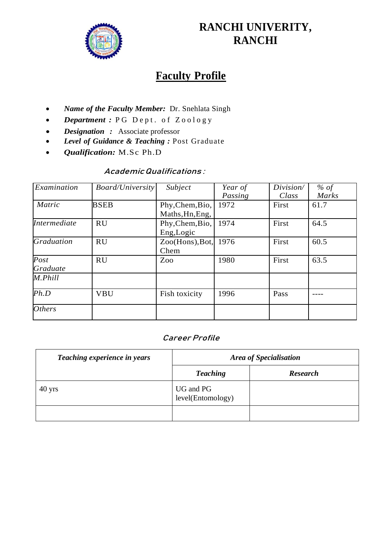

# **RANCHI UNIVERITY, RANCHI**

# **Faculty Profile**

- *Name of the Faculty Member:* Dr. Snehlata Singh
- *Department* : PG Dept. of Zoology
- *Designation :* Associate professor
- *Level of Guidance & Teaching :* Post Graduate
- *Qualification:* M.Sc Ph.D

### Academic Qualifications :

| Examination          | <b>Board/University</b> | Subject                            | Year of | Division/ | % of         |
|----------------------|-------------------------|------------------------------------|---------|-----------|--------------|
|                      |                         |                                    | Passing | Class     | <b>Marks</b> |
| Matric               | <b>BSEB</b>             | Phy, Chem, Bio,<br>Maths, Hn, Eng, | 1972    | First     | 61.7         |
| Intermediate         | <b>RU</b>               | Phy, Chem, Bio,<br>Eng, Logic      | 1974    | First     | 64.5         |
| <b>Graduation</b>    | <b>RU</b>               | Zoo(Hons), Bot,<br>Chem            | 1976    | First     | 60.5         |
| Post<br>Graduate     | <b>RU</b>               | Zoo                                | 1980    | First     | 63.5         |
| M.Phill              |                         |                                    |         |           |              |
| Ph.D                 | <b>VBU</b>              | Fish toxicity                      | 1996    | Pass      |              |
| <i><b>Others</b></i> |                         |                                    |         |           |              |

#### Career Profile

| Teaching experience in years | Area of Specialisation         |                 |  |
|------------------------------|--------------------------------|-----------------|--|
|                              | <b>Teaching</b>                | <b>Research</b> |  |
| $40 \text{ yrs}$             | UG and PG<br>level(Entomology) |                 |  |
|                              |                                |                 |  |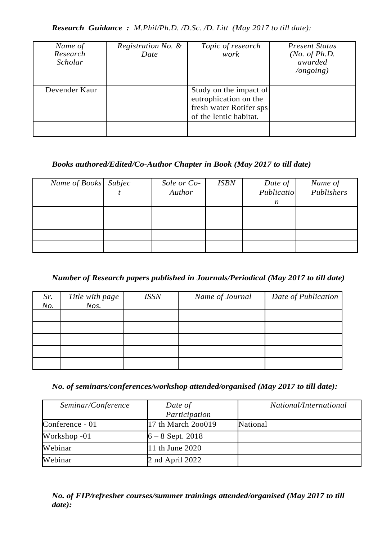*Research Guidance : M.Phil/Ph.D. /D.Sc. /D. Litt (May 2017 to till date):*

| Name of<br>Research<br>Scholar | Registration No. &<br>Date | Topic of research<br>work                                                                            | <b>Present Status</b><br>( <i>No. of Ph.D.</i><br>awarded<br>$\log o$ ing) |
|--------------------------------|----------------------------|------------------------------------------------------------------------------------------------------|----------------------------------------------------------------------------|
| Devender Kaur                  |                            | Study on the impact of<br>eutrophication on the<br>fresh water Rotifer sps<br>of the lentic habitat. |                                                                            |
|                                |                            |                                                                                                      |                                                                            |

#### *Books authored/Edited/Co-Author Chapter in Book (May 2017 to till date)*

| Name of Books Subjec | Sole or Co- | <b>ISBN</b> | Date of          | Name of    |
|----------------------|-------------|-------------|------------------|------------|
|                      | Author      |             | Publicatio       | Publishers |
|                      |             |             | $\boldsymbol{n}$ |            |
|                      |             |             |                  |            |
|                      |             |             |                  |            |
|                      |             |             |                  |            |
|                      |             |             |                  |            |

## *Number of Research papers published in Journals/Periodical (May 2017 to till date)*

| Sr.<br>No. | Title with page<br>$N$ os. | <b>ISSN</b> | Name of Journal | Date of Publication |
|------------|----------------------------|-------------|-----------------|---------------------|
|            |                            |             |                 |                     |
|            |                            |             |                 |                     |
|            |                            |             |                 |                     |
|            |                            |             |                 |                     |
|            |                            |             |                 |                     |

*No. of seminars/conferences/workshop attended/organised (May 2017 to till date):*

| Seminar/Conference | Date of<br>Participation | National/International |
|--------------------|--------------------------|------------------------|
| Conference - 01    | 17 th March 200019       | National               |
| Workshop -01       | $6 - 8$ Sept. 2018       |                        |
| Webinar            | 11 th June 2020          |                        |
| Webinar            | 2 nd April $2022$        |                        |

*No. of FIP/refresher courses/summer trainings attended/organised (May 2017 to till date):*